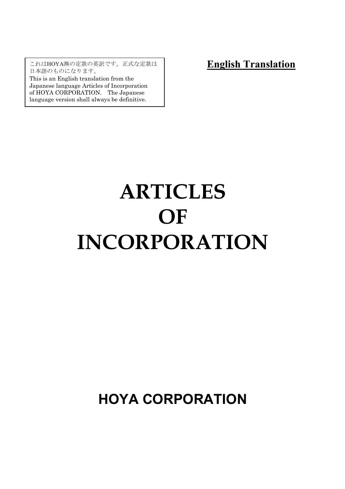これはHOYA㈱の定款の英訳です。正式な定款は 日本語のものになります。

This is an English translation from the Japanese language Articles of Incorporation of HOYA CORPORATION. The Japanese language version shall always be definitive.

**English Translation**

# **ARTICLES OF INCORPORATION**

# **HOYA CORPORATION**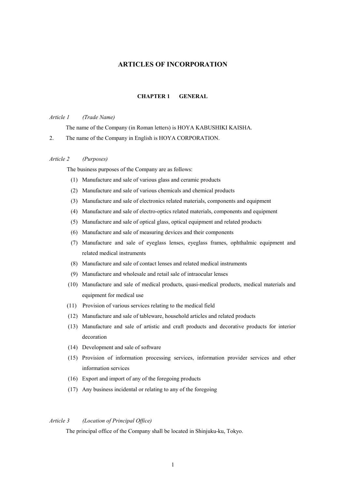# **ARTICLES OF INCORPORATION**

#### **CHAPTER 1 GENERAL**

#### *Article 1 (Trade Name)*

The name of the Company (in Roman letters) is HOYA KABUSHIKI KAISHA.

2. The name of the Company in English is HOYA CORPORATION.

#### *Article 2 (Purposes)*

The business purposes of the Company are as follows:

- (1) Manufacture and sale of various glass and ceramic products
- (2) Manufacture and sale of various chemicals and chemical products
- (3) Manufacture and sale of electronics related materials, components and equipment
- (4) Manufacture and sale of electro-optics related materials, components and equipment
- (5) Manufacture and sale of optical glass, optical equipment and related products
- (6) Manufacture and sale of measuring devices and their components
- (7) Manufacture and sale of eyeglass lenses, eyeglass frames, ophthalmic equipment and related medical instruments
- (8) Manufacture and sale of contact lenses and related medical instruments
- (9) Manufacture and wholesale and retail sale of intraocular lenses
- (10) Manufacture and sale of medical products, quasi-medical products, medical materials and equipment for medical use
- (11) Provision of various services relating to the medical field
- (12) Manufacture and sale of tableware, household articles and related products
- (13) Manufacture and sale of artistic and craft products and decorative products for interior decoration
- (14) Development and sale of software
- (15) Provision of information processing services, information provider services and other information services
- (16) Export and import of any of the foregoing products
- (17) Any business incidental or relating to any of the foregoing

# *Article 3 (Location of Principal Office)*

The principal office of the Company shall be located in Shinjuku-ku, Tokyo.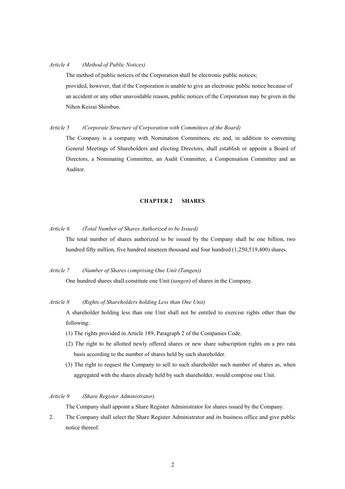#### *Article 4 (Method of Public Notices)*

The method of public notices of the Corporation shall be electronic public notices; provided, however, that if the Corporation is unable to give an electronic public notice because of an accident or any other unavoidable reason, public notices of the Corporation may be given in the Nihon Keizai Shimbun.

#### *Article 5 (Corporate Structure of Corporation with Committees of the Board)*

The Company is a company with Nomination Committees, etc and, in addition to convening General Meetings of Shareholders and electing Directors, shall establish or appoint a Board of Directors, a Nominating Committee, an Audit Committee, a Compensation Committee and an Auditor.

#### **CHAPTER 2 SHARES**

# *Article 6 (Total Number of Shares Authorized to be Issued)*

The total number of shares authorized to be issued by the Company shall be one billion, two hundred fifty million, five hundred nineteen thousand and four hundred (1,250,519,400) shares.

*Article 7 (Number of Shares comprising One Unit (Tangen))*

One hundred shares shall constitute one Unit (*tangen*) of shares in the Company.

#### *Article 8 (Rights of Shareholders holding Less than One Unit)*

A shareholder holding less than one Unit shall not be entitled to exercise rights other than the following:

- (1) The rights provided in Article 189, Paragraph 2 of the Companies Code.
- (2) The right to be allotted newly offered shares or new share subscription rights on a pro rata basis according to the number of shares held by such shareholder.
- (3) The right to request the Company to sell to such shareholder such number of shares as, when aggregated with the shares already held by such shareholder, would comprise one Unit.

# *Article 9 (Share Register Administrator)*

The Company shall appoint a Share Register Administrator for shares issued by the Company.

2. The Company shall select the Share Register Administrator and its business office and give public notice thereof.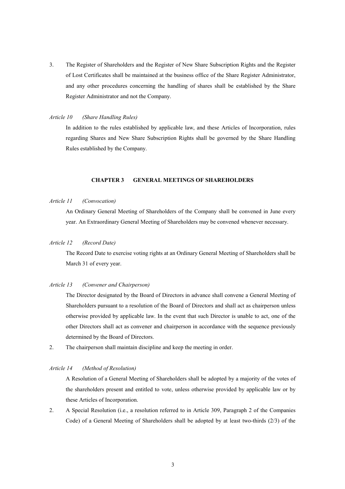3. The Register of Shareholders and the Register of New Share Subscription Rights and the Register of Lost Certificates shall be maintained at the business office of the Share Register Administrator, and any other procedures concerning the handling of shares shall be established by the Share Register Administrator and not the Company.

#### *Article 10 (Share Handling Rules)*

In addition to the rules established by applicable law, and these Articles of Incorporation, rules regarding Shares and New Share Subscription Rights shall be governed by the Share Handling Rules established by the Company.

# **CHAPTER 3 GENERAL MEETINGS OF SHAREHOLDERS**

# *Article 11 (Convocation)*

An Ordinary General Meeting of Shareholders of the Company shall be convened in June every year. An Extraordinary General Meeting of Shareholders may be convened whenever necessary.

# *Article 12 (Record Date)*

The Record Date to exercise voting rights at an Ordinary General Meeting of Shareholders shall be March 31 of every year.

#### *Article 13 (Convener and Chairperson)*

The Director designated by the Board of Directors in advance shall convene a General Meeting of Shareholders pursuant to a resolution of the Board of Directors and shall act as chairperson unless otherwise provided by applicable law. In the event that such Director is unable to act, one of the other Directors shall act as convener and chairperson in accordance with the sequence previously determined by the Board of Directors.

2. The chairperson shall maintain discipline and keep the meeting in order.

#### *Article 14 (Method of Resolution)*

A Resolution of a General Meeting of Shareholders shall be adopted by a majority of the votes of the shareholders present and entitled to vote, unless otherwise provided by applicable law or by these Articles of Incorporation.

2. A Special Resolution (i.e., a resolution referred to in Article 309, Paragraph 2 of the Companies Code) of a General Meeting of Shareholders shall be adopted by at least two-thirds (2/3) of the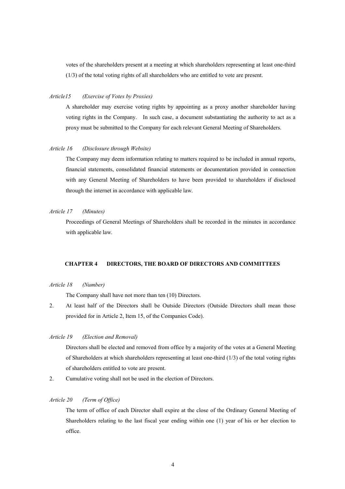votes of the shareholders present at a meeting at which shareholders representing at least one-third (1/3) of the total voting rights of all shareholders who are entitled to vote are present.

#### *Article15 (Exercise of Votes by Proxies)*

A shareholder may exercise voting rights by appointing as a proxy another shareholder having voting rights in the Company. In such case, a document substantiating the authority to act as a proxy must be submitted to the Company for each relevant General Meeting of Shareholders.

#### *Article 16 (Disclosure through Website)*

The Company may deem information relating to matters required to be included in annual reports, financial statements, consolidated financial statements or documentation provided in connection with any General Meeting of Shareholders to have been provided to shareholders if disclosed through the internet in accordance with applicable law.

# *Article 17 (Minutes)*

Proceedings of General Meetings of Shareholders shall be recorded in the minutes in accordance with applicable law.

#### **CHAPTER 4 DIRECTORS, THE BOARD OF DIRECTORS AND COMMITTEES**

#### *Article 18 (Number)*

The Company shall have not more than ten (10) Directors.

2. At least half of the Directors shall be Outside Directors (Outside Directors shall mean those provided for in Article 2, Item 15, of the Companies Code).

## *Article 19 (Election and Removal)*

Directors shall be elected and removed from office by a majority of the votes at a General Meeting of Shareholders at which shareholders representing at least one-third (1/3) of the total voting rights of shareholders entitled to vote are present.

2. Cumulative voting shall not be used in the election of Directors.

# *Article 20 (Term of Office)*

The term of office of each Director shall expire at the close of the Ordinary General Meeting of Shareholders relating to the last fiscal year ending within one (1) year of his or her election to office.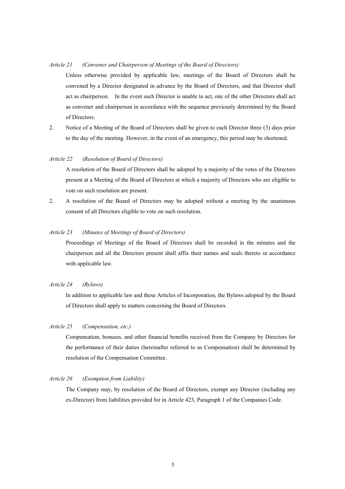#### *Article 21 (Convener and Chairperson of Meetings of the Board of Directors)*

Unless otherwise provided by applicable law, meetings of the Board of Directors shall be convened by a Director designated in advance by the Board of Directors, and that Director shall act as chairperson. In the event such Director is unable to act, one of the other Directors shall act as convener and chairperson in accordance with the sequence previously determined by the Board of Directors.

2. Notice of a Meeting of the Board of Directors shall be given to each Director three (3) days prior to the day of the meeting. However, in the event of an emergency, this period may be shortened.

#### *Article 22 (Resolution of Board of Directors)*

A resolution of the Board of Directors shall be adopted by a majority of the votes of the Directors present at a Meeting of the Board of Directors at which a majority of Directors who are eligible to vote on such resolution are present.

2. A resolution of the Board of Directors may be adopted without a meeting by the unanimous consent of all Directors eligible to vote on such resolution.

# *Article 23 (Minutes of Meetings of Board of Directors)*

Proceedings of Meetings of the Board of Directors shall be recorded in the minutes and the chairperson and all the Directors present shall affix their names and seals thereto in accordance with applicable law.

#### *Article 24 (Bylaws)*

In addition to applicable law and these Articles of Incorporation, the Bylaws adopted by the Board of Directors shall apply to matters concerning the Board of Directors.

# *Article 25 (Compensation, etc.)*

Compensation, bonuses, and other financial benefits received from the Company by Directors for the performance of their duties (hereinafter referred to as Compensation) shall be determined by resolution of the Compensation Committee.

#### *Article 26 (Exemption from Liability)*

The Company may, by resolution of the Board of Directors, exempt any Director (including any ex-Director) from liabilities provided for in Article 423, Paragraph 1 of the Companies Code.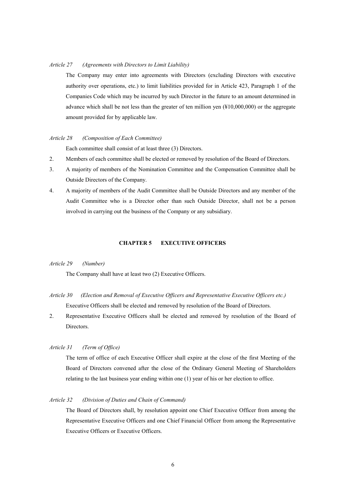#### *Article 27 (Agreements with Directors to Limit Liability)*

The Company may enter into agreements with Directors (excluding Directors with executive authority over operations, etc.) to limit liabilities provided for in Article 423, Paragraph 1 of the Companies Code which may be incurred by such Director in the future to an amount determined in advance which shall be not less than the greater of ten million yen (¥10,000,000) or the aggregate amount provided for by applicable law.

#### *Article 28 (Composition of Each Committee)*

Each committee shall consist of at least three (3) Directors.

- 2. Members of each committee shall be elected or removed by resolution of the Board of Directors.
- 3. A majority of members of the Nomination Committee and the Compensation Committee shall be Outside Directors of the Company.
- 4. A majority of members of the Audit Committee shall be Outside Directors and any member of the Audit Committee who is a Director other than such Outside Director, shall not be a person involved in carrying out the business of the Company or any subsidiary.

#### **CHAPTER 5 EXECUTIVE OFFICERS**

#### *Article 29 (Number)*

The Company shall have at least two (2) Executive Officers.

- *Article 30 (Election and Removal of Executive Officers and Representative Executive Officers etc.)* Executive Officers shall be elected and removed by resolution of the Board of Directors.
- 2. Representative Executive Officers shall be elected and removed by resolution of the Board of Directors.

# *Article 31 (Term of Office)*

The term of office of each Executive Officer shall expire at the close of the first Meeting of the Board of Directors convened after the close of the Ordinary General Meeting of Shareholders relating to the last business year ending within one (1) year of his or her election to office.

# *Article 32 (Division of Duties and Chain of Command)*

The Board of Directors shall, by resolution appoint one Chief Executive Officer from among the Representative Executive Officers and one Chief Financial Officer from among the Representative Executive Officers or Executive Officers.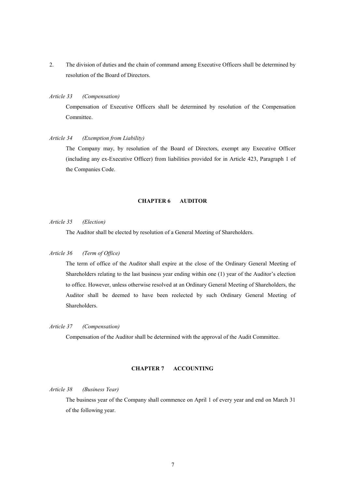2. The division of duties and the chain of command among Executive Officers shall be determined by resolution of the Board of Directors.

#### *Article 33 (Compensation)*

Compensation of Executive Officers shall be determined by resolution of the Compensation Committee.

#### *Article 34 (Exemption from Liability)*

The Company may, by resolution of the Board of Directors, exempt any Executive Officer (including any ex-Executive Officer) from liabilities provided for in Article 423, Paragraph 1 of the Companies Code.

#### **CHAPTER 6 AUDITOR**

#### *Article 35 (Election)*

The Auditor shall be elected by resolution of a General Meeting of Shareholders.

# *Article 36 (Term of Office)*

The term of office of the Auditor shall expire at the close of the Ordinary General Meeting of Shareholders relating to the last business year ending within one (1) year of the Auditor's election to office. However, unless otherwise resolved at an Ordinary General Meeting of Shareholders, the Auditor shall be deemed to have been reelected by such Ordinary General Meeting of Shareholders.

#### *Article 37 (Compensation)*

Compensation of the Auditor shall be determined with the approval of the Audit Committee.

#### **CHAPTER 7 ACCOUNTING**

#### *Article 38 (Business Year)*

The business year of the Company shall commence on April 1 of every year and end on March 31 of the following year.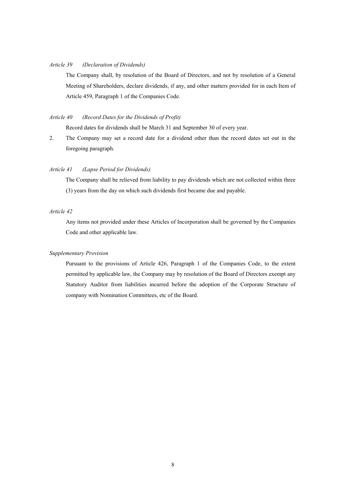# *Article 39 (Declaration of Dividends)*

The Company shall, by resolution of the Board of Directors, and not by resolution of a General Meeting of Shareholders, declare dividends, if any, and other matters provided for in each Item of Article 459, Paragraph 1 of the Companies Code.

# *Article 40 (Record Dates for the Dividends of Profit)*

Record dates for dividends shall be March 31 and September 30 of every year.

2. The Company may set a record date for a dividend other than the record dates set out in the foregoing paragraph.

# *Article 41 (Lapse Period for Dividends)*

The Company shall be relieved from liability to pay dividends which are not collected within three (3) years from the day on which such dividends first became due and payable.

# *Article 42*

Any items not provided under these Articles of Incorporation shall be governed by the Companies Code and other applicable law.

#### *Supplementary Provision*

Pursuant to the provisions of Article 426, Paragraph 1 of the Companies Code, to the extent permitted by applicable law, the Company may by resolution of the Board of Directors exempt any Statutory Auditor from liabilities incurred before the adoption of the Corporate Structure of company with Nomination Committees, etc of the Board.